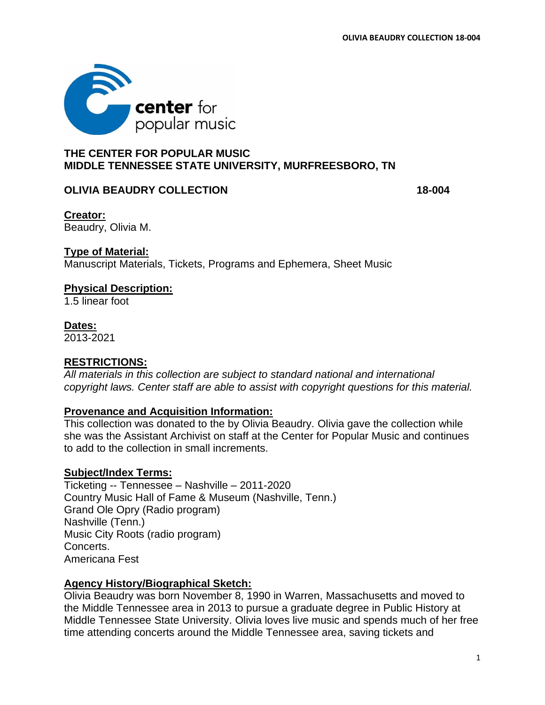

# **THE CENTER FOR POPULAR MUSIC MIDDLE TENNESSEE STATE UNIVERSITY, MURFREESBORO, TN**

## **OLIVIA BEAUDRY COLLECTION 18-004**

**Creator:** Beaudry, Olivia M.

## **Type of Material:**

Manuscript Materials, Tickets, Programs and Ephemera, Sheet Music

#### **Physical Description:**

1.5 linear foot

#### **Dates:**

2013-2021

## **RESTRICTIONS:**

*All materials in this collection are subject to standard national and international copyright laws. Center staff are able to assist with copyright questions for this material.* 

## **Provenance and Acquisition Information:**

This collection was donated to the by Olivia Beaudry. Olivia gave the collection while she was the Assistant Archivist on staff at the Center for Popular Music and continues to add to the collection in small increments.

## **Subject/Index Terms:**

Ticketing -- Tennessee – Nashville – 2011-2020 Country Music Hall of Fame & Museum (Nashville, Tenn.) Grand Ole Opry (Radio program) Nashville (Tenn.) Music City Roots (radio program) Concerts. Americana Fest

## **Agency History/Biographical Sketch:**

Olivia Beaudry was born November 8, 1990 in Warren, Massachusetts and moved to the Middle Tennessee area in 2013 to pursue a graduate degree in Public History at Middle Tennessee State University. Olivia loves live music and spends much of her free time attending concerts around the Middle Tennessee area, saving tickets and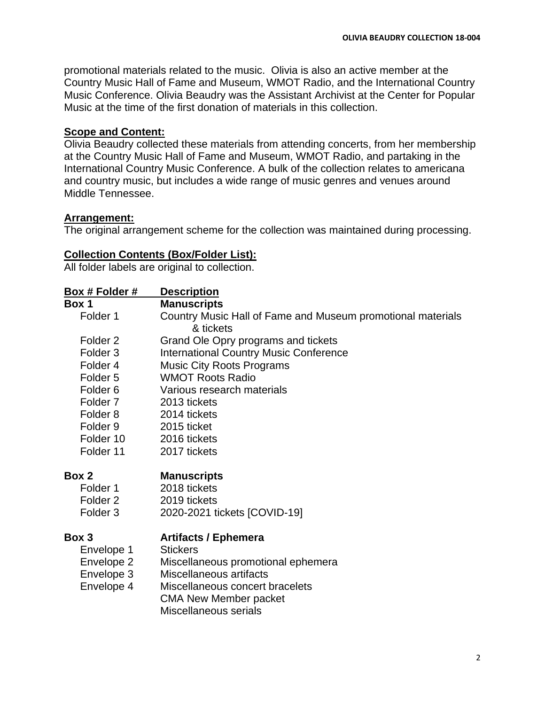promotional materials related to the music. Olivia is also an active member at the Country Music Hall of Fame and Museum, WMOT Radio, and the International Country Music Conference. Olivia Beaudry was the Assistant Archivist at the Center for Popular Music at the time of the first donation of materials in this collection.

## **Scope and Content:**

Olivia Beaudry collected these materials from attending concerts, from her membership at the Country Music Hall of Fame and Museum, WMOT Radio, and partaking in the International Country Music Conference. A bulk of the collection relates to americana and country music, but includes a wide range of music genres and venues around Middle Tennessee.

# **Arrangement:**

The original arrangement scheme for the collection was maintained during processing.

# **Collection Contents (Box/Folder List):**

All folder labels are original to collection.

| <u>Box # Folder #</u> | <b>Description</b>                                          |
|-----------------------|-------------------------------------------------------------|
| Box 1                 | <b>Manuscripts</b>                                          |
| Folder 1              | Country Music Hall of Fame and Museum promotional materials |
|                       | & tickets                                                   |
| Folder <sub>2</sub>   | Grand Ole Opry programs and tickets                         |
| Folder <sub>3</sub>   | <b>International Country Music Conference</b>               |
| Folder <sub>4</sub>   | <b>Music City Roots Programs</b>                            |
| Folder <sub>5</sub>   | <b>WMOT Roots Radio</b>                                     |
| Folder <sub>6</sub>   | Various research materials                                  |
| Folder <sub>7</sub>   | 2013 tickets                                                |
| Folder <sub>8</sub>   | 2014 tickets                                                |
| Folder <sub>9</sub>   | 2015 ticket                                                 |
| Folder 10             | 2016 tickets                                                |
| Folder 11             | 2017 tickets                                                |
| Box 2                 | <b>Manuscripts</b>                                          |
| Folder 1              | 2018 tickets                                                |
| Folder <sub>2</sub>   | 2019 tickets                                                |
| Folder <sub>3</sub>   | 2020-2021 tickets [COVID-19]                                |
| Box 3                 | <b>Artifacts / Ephemera</b>                                 |
| Envelope 1            | <b>Stickers</b>                                             |
| Envelope 2            | Miscellaneous promotional ephemera                          |
| Envelope 3            | Miscellaneous artifacts                                     |
| Envelope 4            | Miscellaneous concert bracelets                             |
|                       | <b>CMA New Member packet</b><br>Miscellaneous serials       |
|                       |                                                             |